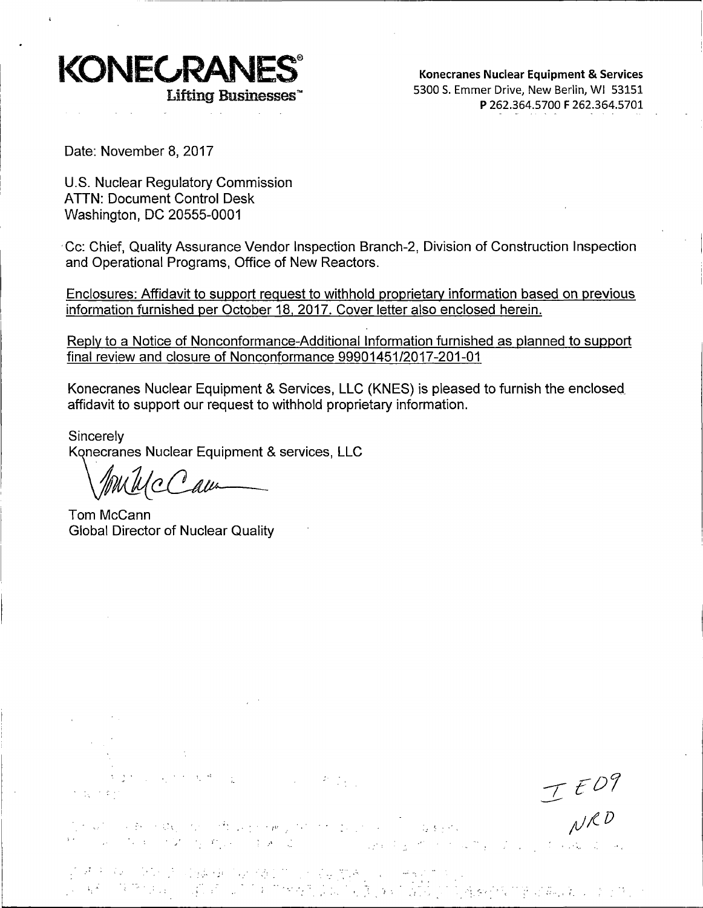

**Konecranes Nuclear Equipment** & **Services**  5300 S. Emmer Drive, New Berlin, WI 53151 **P** 262.364.5700 **F** 262.364.5701

Date: November 8, 2017

U.S. Nuclear Regulatory Commission ATTN: Document Control Desk Washington, DC 20555-0001

· Cc: Chief, Quality Assurance Vendor Inspection Branch-2, Division of Construction Inspection and Operational Programs, Office of New Reactors.

Enclosures: Affidavit to support request to withhold proprietary information based on previous information furnished per October 18, 2017. Cover letter also enclosed herein.

Reply to a Notice of Nonconformance-Additional Information furnished as planned to support final review and closure of Nonconformance 99901451/2017-201-01

Konecranes Nuclear Equipment & Services, LLC (KNES) is pleased to furnish the enclosed\_ affidavit to support our request to withhold proprietary information.

Sincerely<br>**Konecranes Nuclear Equipment & services, LLC**<br>*Anu 11/0 0 alu* 

Tom Mccann Global Director of Nuclear Quality

 $T E D P$ 

in which shows the contract of the process point of the 1990 and the contract of the 1990 and 1990.<br>The second contract of March point process at the contract of the contract of the contract of the contract of

 $\label{eq:2} \frac{1}{\sqrt{2}}\left(\frac{1}{\sqrt{2}}\right)^{2}=\frac{1}{2}\left(\frac{1}{\sqrt{2}}\right)^{2}$ 

·14 ·• የአለም እንደ አንድ የመጠቀሙን የመጠቀሙን የመሸነቅ ያለው ተቋማ ነው።<br>የአለም የምክንያት የተመለከቱ የመጠቀሙን የመሸነቅ አንድ የመሸነቅ ያለው ያልቀውን የሚያስችል አንድ የሚገ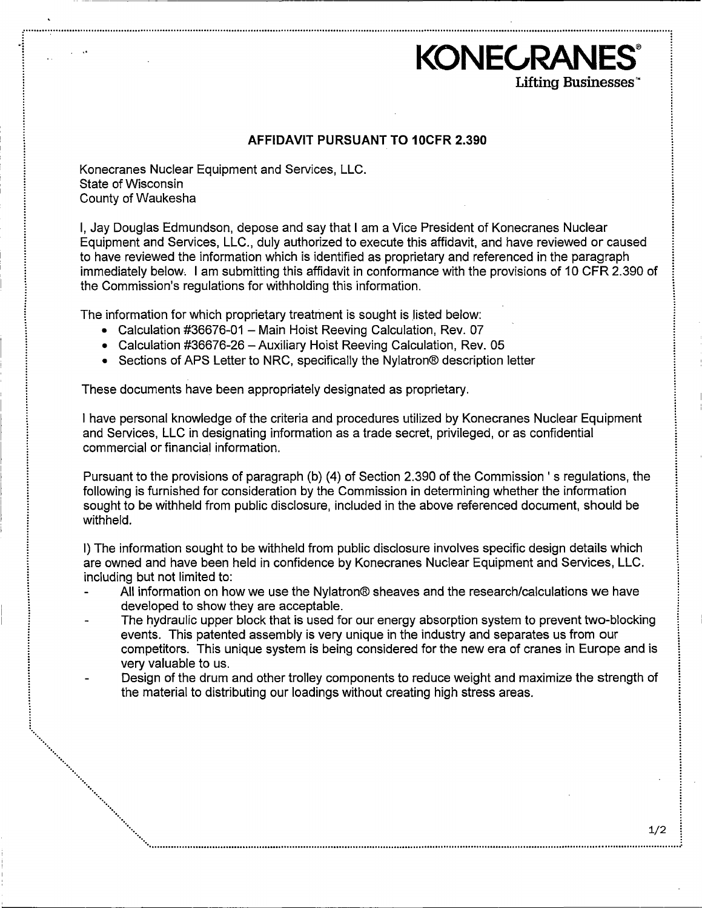## **AFFIDAVIT PURSUANT TO 10CFR 2.390**

**KONECRANES** 

Lifting Businesses<sup>\*</sup>

.···························•····························································································································•·············•······•··············•···•···········•··················•··········

Konecranes Nuclear Equipment and Services, LLC. State of Wisconsin County of Waukesha

·· .. ·· ... ···· ...

•···· ...

 $\cdot$  .

······ ... ' '•,

I, Jay Douglas Edmundson, depose and say that I am a Vice President of Konecranes Nuclear Equipment and Services, LLC., duly authorized to execute this affidavit, and have reviewed or caused to have reviewed the information which is identified as proprietary and referenced in the paragraph immediately below. I am submitting this affidavit in conformance with the provisions of 10 CFR 2.390 of the Commission's regulations for withholding this information.

The information for which proprietary treatment is sought is listed below:

- Calculation #36676-01 Main Hoist Reeving Calculation, Rev. 07
- Calculation #36676-26 Auxiliary Hoist Reeving Calculation, Rev. 05
- Sections of APS Letter to NRC, specifically the Nylatron® description letter

These documents have been appropriately designated as proprietary.

I have personal knowledge of the criteria and procedures utilized by Konecranes Nuclear Equipment and Services, LLC in designating information as a trade secret, privileged, or as confidential commercial or financial information.

Pursuant to the provisions of paragraph (b) (4) of Section 2.390 of the Commission 's regulations, the following is furnished for consideration by the Commission in determining whether the information sought to be withheld from public disclosure, included in the above referenced document, should be withheld.

I) The information sought to be withheld from public disclosure involves specific design details which are owned and have been held in confidence by Konecranes Nuclear Equipment and Services, LLC. including but not limited to:

- All information on how we use the Nylatron® sheaves and the research/calculations we have developed to show they are acceptable.
- The hydraulic upper block that is used for our energy absorption system to prevent two-blocking events. This patented assembly is very unique in the industry and separates us from our competitors. This unique system is being considered for the new era of cranes in Europe and is very valuable to us.
- Design of the drum and other trolley components to reduce weight and maximize the strength of the material to distributing our loadings without creating high stress areas.

·· ................................................................................................................................................................................................. ~ .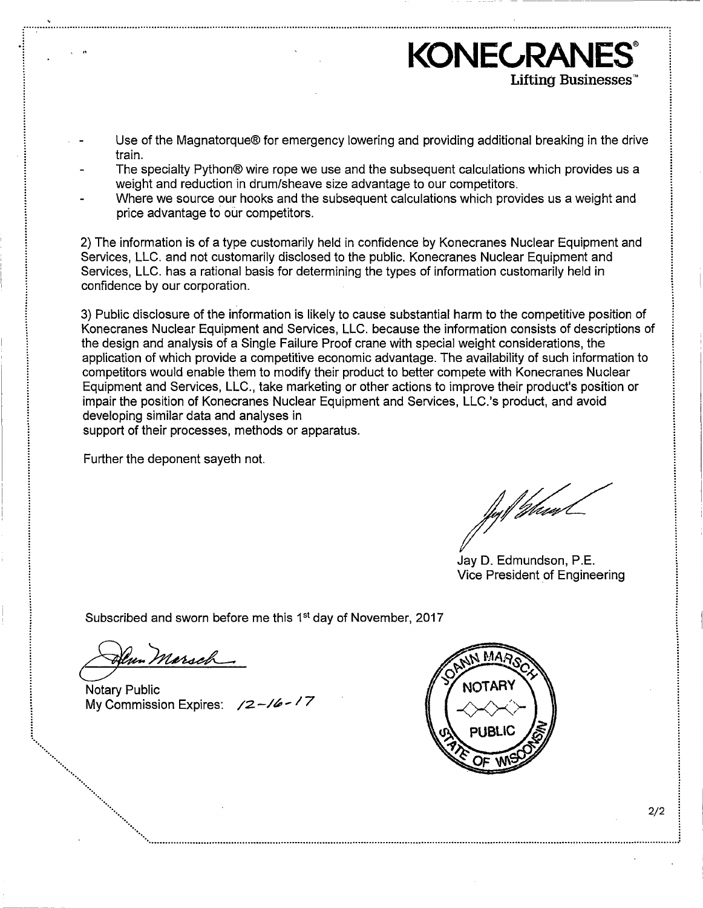- Use of the Magnatorque® for emergency lowering and providing additional breaking in the drive train.
- The specialty Python® wire rope we use and the subsequent calculations which provides us a weight and reduction in drum/sheave size advantage to our competitors.
- Where we source our hooks and the subsequent calculations which provides us a weight and price advantage to our competitors.

2) The information is of a type customarily held in confidence by Konecranes Nuclear Equipment and Services, LLC. and not customarily disclosed to the public. Konecranes Nuclear Equipment and Services, LLC, has a rational basis for determining the types of information customarily held in confidence by our corporation.

3) Public disclosure of the information is likely to cause substantial harm to the competitive position of Konecranes Nuclear Equipment and Services, LLC, because the information consists of descriptions of the design and analysis of a Single Failure Proof crane with special weight considerations, the application of which provide a competitive economic advantage. The availability of such information to competitors would enable them to modify their product to better compete with Konecranes Nuclear Equipment and Services, LLC., take marketing or other actions to improve their product's position or impair the position of Konecranes Nuclear Equipment and Services, LLC.'s product, and avoid developing similar data and analyses in

support of their processes, methods or apparatus.

Further the deponent sayeth not.

/lg//*Mun* 

KONECRAN

Lifting Businesses<sup>\*</sup>

Jay D. Edmundson, P.E. Vice President of Engineering

Subscribed and sworn before me this 1<sup>st</sup> day of November, 2017

lun Marsch

Notary Public My Commission Expires:  $\sqrt{2}-\sqrt{6}-\sqrt{7}$ 



 $2/2$